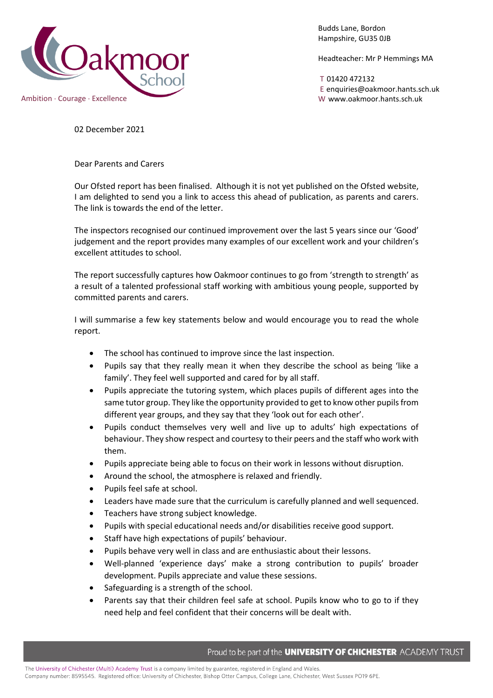

Budds Lane, Bordon Hampshire, GU35 0JB

Headteacher: Mr P Hemmings MA

T 01420 472132 E enquiries@oakmoor.hants.sch.uk

02 December 2021

Dear Parents and Carers

Our Ofsted report has been finalised. Although it is not yet published on the Ofsted website, I am delighted to send you a link to access this ahead of publication, as parents and carers. The link is towards the end of the letter.

The inspectors recognised our continued improvement over the last 5 years since our 'Good' judgement and the report provides many examples of our excellent work and your children's excellent attitudes to school.

The report successfully captures how Oakmoor continues to go from 'strength to strength' as a result of a talented professional staff working with ambitious young people, supported by committed parents and carers.

I will summarise a few key statements below and would encourage you to read the whole report.

- The school has continued to improve since the last inspection.
- Pupils say that they really mean it when they describe the school as being 'like a family'. They feel well supported and cared for by all staff.
- Pupils appreciate the tutoring system, which places pupils of different ages into the same tutor group. They like the opportunity provided to get to know other pupils from different year groups, and they say that they 'look out for each other'.
- Pupils conduct themselves very well and live up to adults' high expectations of behaviour. They show respect and courtesy to their peers and the staff who work with them.
- Pupils appreciate being able to focus on their work in lessons without disruption.
- Around the school, the atmosphere is relaxed and friendly.
- Pupils feel safe at school.
- Leaders have made sure that the curriculum is carefully planned and well sequenced.
- Teachers have strong subject knowledge.
- Pupils with special educational needs and/or disabilities receive good support.
- Staff have high expectations of pupils' behaviour.
- Pupils behave very well in class and are enthusiastic about their lessons.
- Well-planned 'experience days' make a strong contribution to pupils' broader development. Pupils appreciate and value these sessions.
- Safeguarding is a strength of the school.
- Parents say that their children feel safe at school. Pupils know who to go to if they need help and feel confident that their concerns will be dealt with.

Proud to be part of the UNIVERSITY OF CHICHESTER ACADEMY TRUST